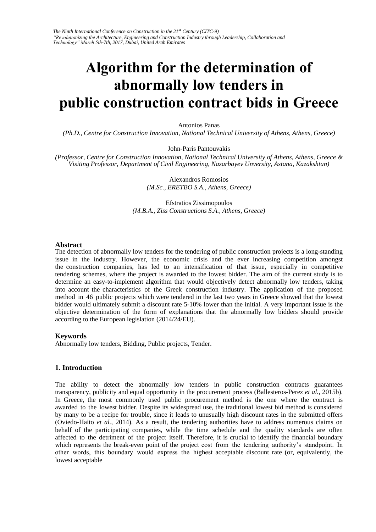# **Algorithm for the determination of abnormally low tenders in public construction contract bids in Greece**

Antonios Panas

*(Ph.D., Centre for Construction Innovation, National Technical University of Athens, Athens, Greece)* 

John-Paris Pantouvakis

*(Professor, Centre for Construction Innovation, National Technical University of Athens, Athens, Greece & Visiting Professor, Department of Civil Engineering, Nazarbayev Unversity, Astana, Kazakshtan)* 

> Alexandros Romosios *(M.Sc., ERETBO S.A., Athens, Greece)*

Efstratios Zissimopoulos *(M.B.A., Ziss Constructions S.A., Athens, Greece)* 

## **Abstract**

The detection of abnormally low tenders for the tendering of public construction projects is a long-standing issue in the industry. However, the economic crisis and the ever increasing competition amongst the construction companies, has led to an intensification of that issue, especially in competitive tendering schemes, where the project is awarded to the lowest bidder. The aim of the current study is to determine an easy-to-implement algorithm that would objectively detect abnormally low tenders, taking into account the characteristics of the Greek construction industry. The application of the proposed method in 46 public projects which were tendered in the last two years in Greece showed that the lowest bidder would ultimately submit a discount rate 5-10% lower than the initial. A very important issue is the objective determination of the form of explanations that the abnormally low bidders should provide according to the European legislation (2014/24/EU).

## **Keywords**

Abnormally low tenders, Bidding, Public projects, Tender.

## **1. Introduction**

The ability to detect the abnormally low tenders in public construction contracts guarantees transparency, publicity and equal opportunity in the procurement process (Ballesteros-Perez *et al.*, 2015b). In Greece, the most commonly used public procurement method is the one where the contract is awarded to the lowest bidder. Despite its widespread use, the traditional lowest bid method is considered by many to be a recipe for trouble, since it leads to unusually high discount rates in the submitted offers (Oviedo-Haito *et al.*, 2014). As a result, the tendering authorities have to address numerous claims on behalf of the participating companies, while the time schedule and the quality standards are often affected to the detriment of the project itself. Therefore, it is crucial to identify the financial boundary which represents the break-even point of the project cost from the tendering authority's standpoint. In other words, this boundary would express the highest acceptable discount rate (or, equivalently, the lowest acceptable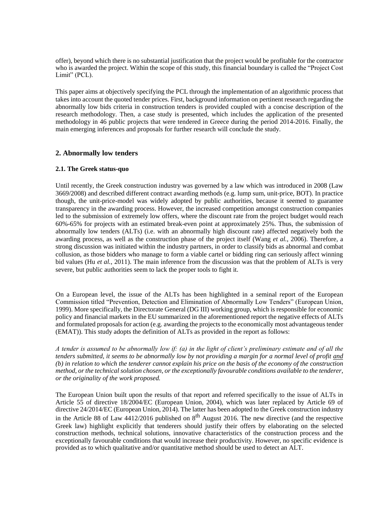offer), beyond which there is no substantial justification that the project would be profitable for the contractor who is awarded the project. Within the scope of this study, this financial boundary is called the "Project Cost Limit" (PCL).

This paper aims at objectively specifying the PCL through the implementation of an algorithmic process that takes into account the quoted tender prices. First, background information on pertinent research regarding the abnormally low bids criteria in construction tenders is provided coupled with a concise description of the research methodology. Then, a case study is presented, which includes the application of the presented methodology in 46 public projects that were tendered in Greece during the period 2014-2016. Finally, the main emerging inferences and proposals for further research will conclude the study.

# **2. Abnormally low tenders**

# **2.1. The Greek status-quo**

Until recently, the Greek construction industry was governed by a law which was introduced in 2008 (Law 3669/2008) and described different contract awarding methods (e.g. lump sum, unit-price, BOT). In practice though, the unit-price-model was widely adopted by public authorities, because it seemed to guarantee transparency in the awarding process. However, the increased competition amongst construction companies led to the submission of extremely low offers, where the discount rate from the project budget would reach 60%-65% for projects with an estimated break-even point at approximately 25%. Thus, the submission of abnormally low tenders (ALTs) (i.e. with an abnormally high discount rate) affected negatively both the awarding process, as well as the construction phase of the project itself (Wang *et al.*, 2006). Therefore, a strong discussion was initiated within the industry partners, in order to classify bids as abnormal and combat collusion, as those bidders who manage to form a viable cartel or bidding ring can seriously affect winning bid values (Hu *et al.*, 2011). The main inference from the discussion was that the problem of ALTs is very severe, but public authorities seem to lack the proper tools to fight it.

On a European level, the issue of the ALTs has been highlighted in a seminal report of the European Commission titled "Prevention, Detection and Elimination of Abnormally Low Tenders" (European Union, 1999). More specifically, the Directorate General (DG III) working group, which is responsible for economic policy and financial markets in the EU summarized in the aforementioned report the negative effects of ALTs and formulated proposals for action (e.g. awarding the projects to the economically most advantageous tender (EMAT)). This study adopts the definition of ALTs as provided in the report as follows:

*A tender is assumed to be abnormally low if: (a) in the light of client's preliminary estimate and of all the tenders submitted, it seems to be abnormally low by not providing a margin for a normal level of profit and (b) in relation to which the tenderer cannot explain his price on the basis of the economy of the construction method, or the technical solution chosen, or the exceptionally favourable conditions available to the tenderer, or the originality of the work proposed.*

The European Union built upon the results of that report and referred specifically to the issue of ALTs in Article 55 of directive 18/2004/EC (European Union, 2004), which was later replaced by Article 69 of directive 24/2014/EC (European Union, 2014). The latter has been adopted to the Greek construction industry in the Article 88 of Law  $4412/2016$  published on  $8<sup>th</sup>$  August 2016. The new directive (and the respective Greek law) highlight explicitly that tenderers should justify their offers by elaborating on the selected construction methods, technical solutions, innovative characteristics of the construction process and the exceptionally favourable conditions that would increase their productivity. However, no specific evidence is provided as to which qualitative and/or quantitative method should be used to detect an ALT.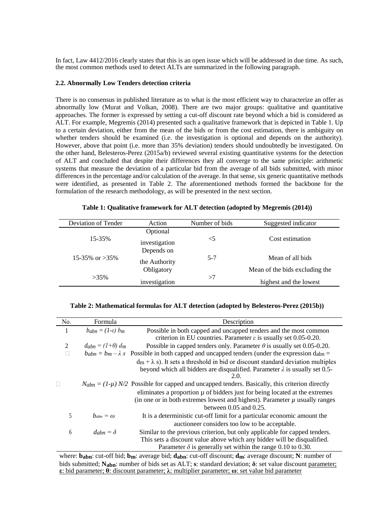In fact, Law 4412/2016 clearly states that this is an open issue which will be addressed in due time. As such, the most common methods used to detect ALTs are summarized in the following paragraph.

### **2.2. Abnormally Low Tenders detection criteria**

There is no consensus in published literature as to what is the most efficient way to characterize an offer as abnormally low (Murat and Volkan, 2008). There are two major groups: qualitative and quantitative approaches. The former is expressed by setting a cut-off discount rate beyond which a bid is considered as ALT. For example, Megremis (2014) presented such a qualitative framework that is depicted in Table 1. Up to a certain deviation, either from the mean of the bids or from the cost estimation, there is ambiguity on whether tenders should be examined (i.e. the investigation is optional and depends on the authority). However, above that point (i.e. more than 35% deviation) tenders should undoubtedly be investigated. On the other hand, Belesteros-Perez (2015a/b) reviewed several existing quantitative systems for the detection of ALT and concluded that despite their differences they all converge to the same principle: arithmetic systems that measure the deviation of a particular bid from the average of all bids submitted, with minor differences in the percentage and/or calculation of the average. In that sense, six generic quantitative methods were identified, as presented in Table 2. The aforementioned methods formed the backbone for the formulation of the research methodology, as will be presented in the next section.

| Table 1: Qualitative framework for ALT detection (adopted by Megremis (2014)) |  |  |  |  |  |
|-------------------------------------------------------------------------------|--|--|--|--|--|
|-------------------------------------------------------------------------------|--|--|--|--|--|

| Deviation of Tender | Action        | Number of bids | Suggested indicator            |  |
|---------------------|---------------|----------------|--------------------------------|--|
|                     | Optional      |                |                                |  |
| 15-35%              | investigation | $<$ 5          | Cost estimation                |  |
| 15-35\% or $>35\%$  | Depends on    |                |                                |  |
|                     | the Authority | $5-7$          | Mean of all bids               |  |
| $>35\%$             | Obligatory    |                | Mean of the bids excluding the |  |
|                     | investigation | >7             | highest and the lowest         |  |

#### **Table 2: Mathematical formulas for ALT detection (adopted by Belesteros-Perez (2015b))**

| No. | Formula                         | Description                                                                                                                                                                                       |
|-----|---------------------------------|---------------------------------------------------------------------------------------------------------------------------------------------------------------------------------------------------|
| 1   | $b_{abn} = (1-\varepsilon) b_m$ | Possible in both capped and uncapped tenders and the most common<br>criterion in EU countries. Parameter $\varepsilon$ is usually set 0.05-0.20.                                                  |
| 2   | $d_{abn} = (1+\theta) d_m$      | Possible in capped tenders only. Parameter $\theta$ is usually set 0.05-0.20.                                                                                                                     |
|     |                                 | $b_{abn} = b_m - \lambda s$ Possible in both capped and uncapped tenders (under the expression d <sub>abn</sub> =                                                                                 |
|     |                                 | $d_m + \lambda$ s). It sets a threshold in bid or discount standard deviation multiples<br>beyond which all bidders are disqualified. Parameter $\lambda$ is usually set 0.5-<br>2.0.             |
|     |                                 | $N_{abn} = (1-\mu) N/2$ Possible for capped and uncapped tenders. Basically, this criterion directly                                                                                              |
|     |                                 | eliminates a proportion $\mu$ of bidders just for being located at the extremes<br>(in one or in both extremes lowest and highest). Parameter $\mu$ usually ranges<br>between $0.05$ and $0.25$ . |
| 5   | $b_{abn} = \omega$              | It is a deterministic cut-off limit for a particular economic amount the<br>auctioneer considers too low to be acceptable.                                                                        |
| 6   | $d_{abn} = \delta$              | Similar to the previous criterion, but only applicable for capped tenders.<br>This sets a discount value above which any bidder will be disqualified.                                             |
|     |                                 | Parameter $\delta$ is generally set within the range 0.10 to 0.30.                                                                                                                                |

where: **babn**: cut-off bid; **bm**: average bid; **dabn**: cut-off discount; **dm**: average discount; **N**: number of bids submitted; **Nabn**: number of bids set as ALT; **s**: standard deviation; **δ**: set value discount parameter; **ε**: bid parameter; **θ**: discount parameter; **λ**: multiplier parameter; **ω**: set value bid parameter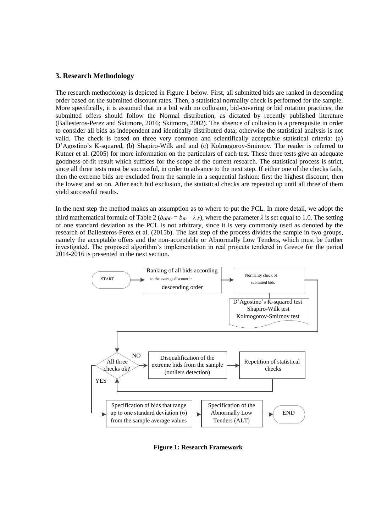## **3. Research Methodology**

The research methodology is depicted in Figure 1 below. First, all submitted bids are ranked in descending order based on the submitted discount rates. Then, a statistical normality check is performed for the sample. More specifically, it is assumed that in a bid with no collusion, bid-covering or bid rotation practices, the submitted offers should follow the Normal distribution, as dictated by recently published literature (Ballesteros-Perez and Skitmore, 2016; Skitmore, 2002). The absence of collusion is a prerequisite in order to consider all bids as independent and identically distributed data; otherwise the statistical analysis is not valid. The check is based on three very common and scientifically acceptable statistical criteria: (a) D'Agostino's K-squared, (b) Shapiro-Wilk and and (c) Kolmogorov-Smirnov. The reader is referred to Kutner et al. (2005) for more information on the particulars of each test. These three tests give an adequate goodness-of-fit result which suffices for the scope of the current research. The statistical process is strict, since all three tests must be successful, in order to advance to the next step. If either one of the checks fails, then the extreme bids are excluded from the sample in a sequential fashion: first the highest discount, then the lowest and so on. After each bid exclusion, the statistical checks are repeated up until all three of them yield successful results.

In the next step the method makes an assumption as to where to put the PCL. In more detail, we adopt the third mathematical formula of Table 2 ( $b_{abn} = b_m - \lambda s$ ), where the parameter  $\lambda$  is set equal to 1.0. The setting of one standard deviation as the PCL is not arbitrary, since it is very commonly used as denoted by the research of Ballesteros-Perez et al. (2015b). The last step of the process divides the sample in two groups, namely the acceptable offers and the non-acceptable or Abnormally Low Tenders, which must be further investigated. The proposed algorithm's implementation in real projects tendered in Greece for the period 2014-2016 is presented in the next section.



**Figure 1: Research Framework**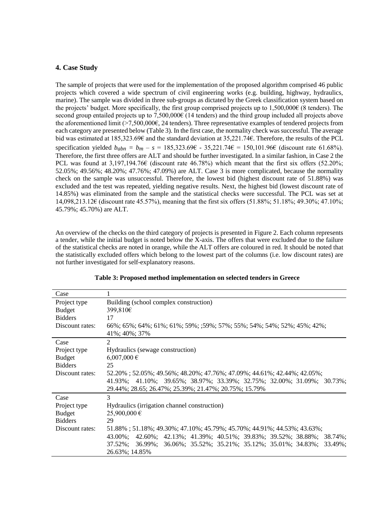# **4. Case Study**

The sample of projects that were used for the implementation of the proposed algorithm comprised 46 public projects which covered a wide spectrum of civil engineering works (e.g. building, highway, hydraulics, marine). The sample was divided in three sub-groups as dictated by the Greek classification system based on the projects' budget. More specifically, the first group comprised projects up to 1,500,000€ (8 tenders). The second group entailed projects up to 7,500,000€ (14 tenders) and the third group included all projects above the aforementioned limit (>7,500,000€, 24 tenders). Three representative examples of tendered projects from each category are presented below (Table 3). In the first case, the normality check was successful. The average bid was estimated at 185,323.69€ and the standard deviation at 35,221.74€. Therefore, the results of the PCL specification yielded  $b_{abn} = b_m - s = 185,323.69 \epsilon - 35,221.74 \epsilon = 150,101.96 \epsilon$  (discount rate 61.68%). Therefore, the first three offers are ALT and should be further investigated. In a similar fashion, in Case 2 the PCL was found at  $3.197,194.76\epsilon$  (discount rate 46.78%) which meant that the first six offers (52.20%; 52.05%; 49.56%; 48.20%; 47.76%; 47.09%) are ALT. Case 3 is more complicated, because the normality check on the sample was unsuccessful. Therefore, the lowest bid (highest discount rate of 51.88%) was excluded and the test was repeated, yielding negative results. Next, the highest bid (lowest discount rate of 14.85%) was eliminated from the sample and the statistical checks were successful. The PCL was set at 14,098,213.12€ (discount rate 45.57%), meaning that the first six offers (51.88%; 51.18%; 49.30%; 47.10%; 45.79%; 45.70%) are ALT.

An overview of the checks on the third category of projects is presented in Figure 2. Each column represents a tender, while the initial budget is noted below the X-axis. The offers that were excluded due to the failure of the statistical checks are noted in orange, while the ALT offers are coloured in red. It should be noted that the statistically excluded offers which belong to the lowest part of the columns (i.e. low discount rates) are not further investigated for self-explanatory reasons.

| Case            |                                                                            |
|-----------------|----------------------------------------------------------------------------|
| Project type    | Building (school complex construction)                                     |
| <b>Budget</b>   | 399,810€                                                                   |
| <b>Bidders</b>  | 17                                                                         |
| Discount rates: | 66%; 65%; 64%; 61%; 61%; 59%; ;59%; 57%; 55%; 54%; 54%; 52%; 45%; 42%;     |
|                 | 41\%; 40\%; 37\%                                                           |
| Case            | 2                                                                          |
| Project type    | Hydraulics (sewage construction)                                           |
| <b>Budget</b>   | $6,007,000 \in$                                                            |
| <b>Bidders</b>  | 25                                                                         |
| Discount rates: | 52.20%; 52.05%; 49.56%; 48.20%; 47.76%; 47.09%; 44.61%; 42.44%; 42.05%;    |
|                 | 41.93%; 41.10%; 39.65%; 38.97%; 33.39%; 32.75%; 32.00%; 31.09%; 30.73%;    |
|                 | 29.44%; 28.65; 26.47%; 25.39%; 21.47%; 20.75%; 15.79%                      |
| Case            | 3                                                                          |
| Project type    | Hydraulics (irrigation channel construction)                               |
| <b>Budget</b>   | 25,900,000 €                                                               |
| <b>Bidders</b>  | 29                                                                         |
| Discount rates: | 51.88%; 51.18%; 49.30%; 47.10%; 45.79%; 45.70%; 44.91%; 44.53%; 43.63%;    |
|                 | 42.60%; 42.13%; 41.39%; 40.51%; 39.83%; 39.52%; 38.88%; 38.74%;<br>43.00%: |
|                 | 37.52%; 36.99%; 36.06%; 35.52%; 35.21%; 35.12%; 35.01%; 34.83%; 33.49%;    |
|                 | 26.63%; 14.85%                                                             |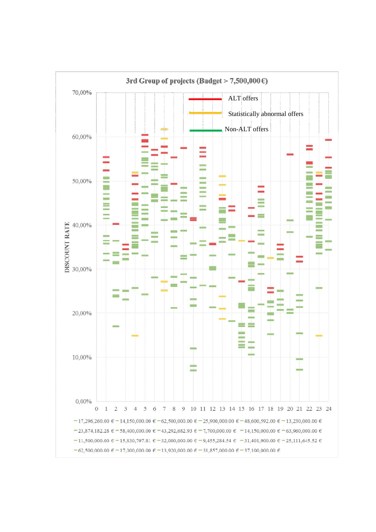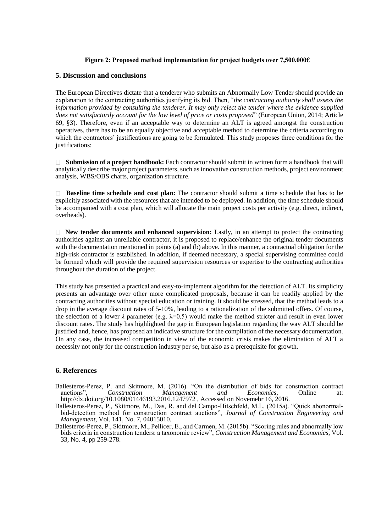## **Figure 2: Proposed method implementation for project budgets over 7,500,000€**

## **5. Discussion and conclusions**

The European Directives dictate that a tenderer who submits an Abnormally Low Tender should provide an explanation to the contracting authorities justifying its bid. Then, "*the contracting authority shall assess the information provided by consulting the tenderer. It may only reject the tender where the evidence supplied does not satisfactorily account for the low level of price or costs proposed*" (European Union, 2014; Article 69, §3). Therefore, even if an acceptable way to determine an ALT is agreed amongst the construction operatives, there has to be an equally objective and acceptable method to determine the criteria according to which the contractors' justifications are going to be formulated. This study proposes three conditions for the justifications:

**Submission of a project handbook:** Each contractor should submit in written form a handbook that will analytically describe major project parameters, such as innovative construction methods, project environment analysis, WBS/OBS charts, organization structure.

**Baseline time schedule and cost plan:** The contractor should submit a time schedule that has to be explicitly associated with the resources that are intended to be deployed. In addition, the time schedule should be accompanied with a cost plan, which will allocate the main project costs per activity (e.g. direct, indirect, overheads).

**New tender documents and enhanced supervision:** Lastly, in an attempt to protect the contracting authorities against an unreliable contractor, it is proposed to replace/enhance the original tender documents with the documentation mentioned in points (a) and (b) above. In this manner, a contractual obligation for the high-risk contractor is established. In addition, if deemed necessary, a special supervising committee could be formed which will provide the required supervision resources or expertise to the contracting authorities throughout the duration of the project.

This study has presented a practical and easy-to-implement algorithm for the detection of ALT. Its simplicity presents an advantage over other more complicated proposals, because it can be readily applied by the contracting authorities without special education or training. It should be stressed, that the method leads to a drop in the average discount rates of 5-10%, leading to a rationalization of the submitted offers. Of course, the selection of a lower  $\lambda$  parameter (e.g.  $\lambda=0.5$ ) would make the method stricter and result in even lower discount rates. The study has highlighted the gap in European legislation regarding the way ALT should be justified and, hence, has proposed an indicative structure for the compilation of the necessary documentation. On any case, the increased competition in view of the economic crisis makes the elimination of ALT a necessity not only for the construction industry per se, but also as a prerequisite for growth.

# **6. References**

- Ballesteros-Perez, P. and Skitmore, M. (2016). "On the distribution of bids for construction contract auctions", Construction Management and Economics, Online at: auctions", *Construction Management and Economics*, Online at: http://dx.doi.org/10.1080/01446193.2016.1247972 , Accessed on Novemebr 16, 2016.
- Ballesteros-Perez, P., Skitmore, M., Das, R. and del Campo-Hitschfeld, M.L. (2015a). "Quick abonormalbid-detection method for construction contract auctions", *Journal of Construction Engineering and Management*, Vol. 141, No. 7, 04015010.
- Ballesteros-Perez, P., Skitmore, M., Pellicer, E., and Carmen, M. (2015b). "Scoring rules and abnormally low bids criteria in construction tenders: a taxonomic review", *Construction Management and Economics*, Vol. 33, No. 4, pp 259-278.